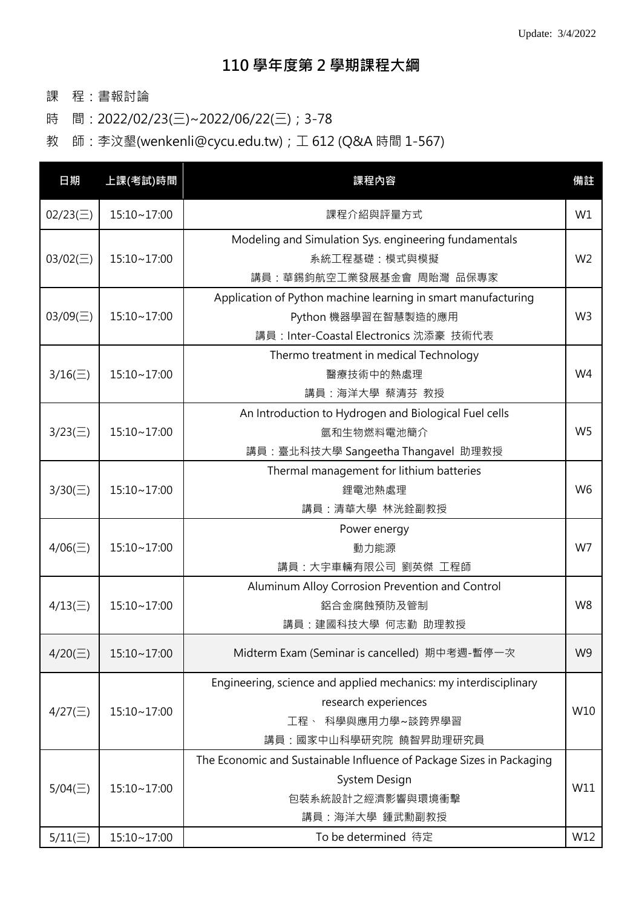- 課 程:書報討論
- 時 間:2022/02/23(三)~2022/06/22(三);3-78
- 教 師:李汶墾(wenkenli@cycu.edu.tw);工 612 (Q&A 時間 1-567)

| 日期                               | 上課(考試)時間                   | 課程內容                                                                                                                                               | 備註             |
|----------------------------------|----------------------------|----------------------------------------------------------------------------------------------------------------------------------------------------|----------------|
| $02/23(\Xi)$                     | 15:10~17:00                | 課程介紹與評量方式                                                                                                                                          | W1             |
| $03/02(\equiv)$                  | 15:10~17:00                | Modeling and Simulation Sys. engineering fundamentals<br>系統工程基礎:模式與模擬<br>講員:華錫鈞航空工業發展基金會 周貽灣 品保專家                                                  | W <sub>2</sub> |
| $03/09(\equiv)$                  | $15:10 - 17:00$            | Application of Python machine learning in smart manufacturing<br>Python 機器學習在智慧製造的應用<br>講員: Inter-Coastal Electronics 沈添豪 技術代表                     | W <sub>3</sub> |
| $3/16(\equiv)$                   | 15:10~17:00                | Thermo treatment in medical Technology<br>醫療技術中的熱處理<br>講員:海洋大學 蔡清芬 教授                                                                              | W <sub>4</sub> |
| $3/23(\equiv)$                   | 15:10~17:00                | An Introduction to Hydrogen and Biological Fuel cells<br>氫和生物燃料電池簡介<br>講員: 臺北科技大學 Sangeetha Thangavel 助理教授                                         | W <sub>5</sub> |
| $3/30(\equiv)$                   | 15:10~17:00                | Thermal management for lithium batteries<br>鋰電池熱處理<br>講員:清華大學 林洸銓副教授                                                                               | W <sub>6</sub> |
| $4/06(\equiv)$                   | 15:10~17:00                | Power energy<br>動力能源<br>講員:大宇車輛有限公司 劉英傑 工程師                                                                                                        | W7             |
| $4/13(\equiv)$                   | 15:10~17:00                | Aluminum Alloy Corrosion Prevention and Control<br>鋁合金腐蝕預防及管制<br>講員:建國科技大學 何志勤 助理教授                                                                | W <sub>8</sub> |
| $4/20(\equiv)$                   | 15:10~17:00                | Midterm Exam (Seminar is cancelled) 期中考週-暫停一次                                                                                                      | W <sub>9</sub> |
| $4/27(\equiv)$                   | 15:10~17:00                | Engineering, science and applied mechanics: my interdisciplinary<br>research experiences<br>工程、科學與應用力學~談跨界學習<br>講員:國家中山科學研究院 饒智昇助理研究員              | W10            |
| $5/04(\equiv)$<br>$5/11(\equiv)$ | 15:10~17:00<br>15:10~17:00 | The Economic and Sustainable Influence of Package Sizes in Packaging<br>System Design<br>包裝系統設計之經濟影響與環境衝擊<br>講員:海洋大學 鍾武勳副教授<br>To be determined 待定 | W11<br>W12     |
|                                  |                            |                                                                                                                                                    |                |